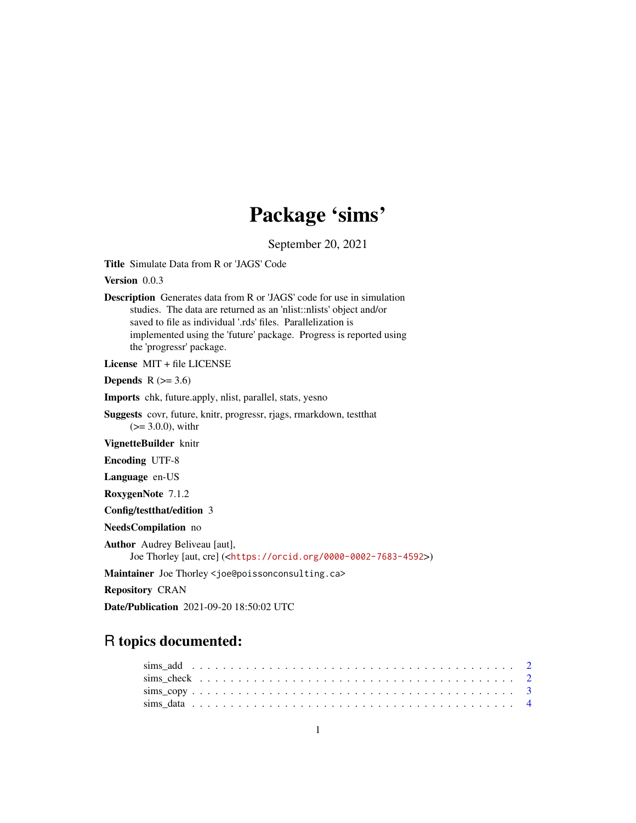## Package 'sims'

September 20, 2021

<span id="page-0-0"></span>Title Simulate Data from R or 'JAGS' Code

Version 0.0.3

Description Generates data from R or 'JAGS' code for use in simulation studies. The data are returned as an 'nlist::nlists' object and/or saved to file as individual '.rds' files. Parallelization is implemented using the 'future' package. Progress is reported using the 'progressr' package.

License MIT + file LICENSE

Depends  $R$  ( $>= 3.6$ )

Imports chk, future.apply, nlist, parallel, stats, yesno

Suggests covr, future, knitr, progressr, rjags, rmarkdown, testthat  $(>= 3.0.0)$ , with r

VignetteBuilder knitr

Encoding UTF-8

Language en-US

RoxygenNote 7.1.2

Config/testthat/edition 3

NeedsCompilation no

Author Audrey Beliveau [aut],

Joe Thorley [aut, cre] (<<https://orcid.org/0000-0002-7683-4592>>)

Maintainer Joe Thorley <joe@poissonconsulting.ca>

Repository CRAN

Date/Publication 2021-09-20 18:50:02 UTC

### R topics documented: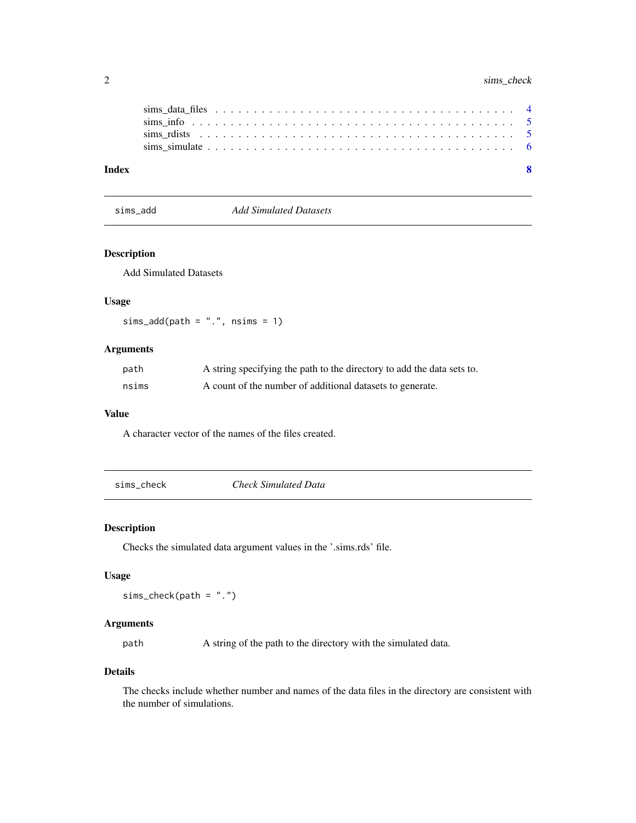#### <span id="page-1-0"></span>2 sims\_check

| Index |  |
|-------|--|
|       |  |
|       |  |
|       |  |
|       |  |

|  | sims add |
|--|----------|

sims\_add *Add Simulated Datasets*

#### Description

Add Simulated Datasets

#### Usage

 $sims\_add(path = "."", nsims = 1)$ 

#### Arguments

| path  | A string specifying the path to the directory to add the data sets to. |
|-------|------------------------------------------------------------------------|
| nsims | A count of the number of additional datasets to generate.              |

#### Value

A character vector of the names of the files created.

sims\_check *Check Simulated Data*

#### Description

Checks the simulated data argument values in the '.sims.rds' file.

#### Usage

 $sims_{\text{check}}(path = "."')$ 

#### Arguments

path A string of the path to the directory with the simulated data.

#### Details

The checks include whether number and names of the data files in the directory are consistent with the number of simulations.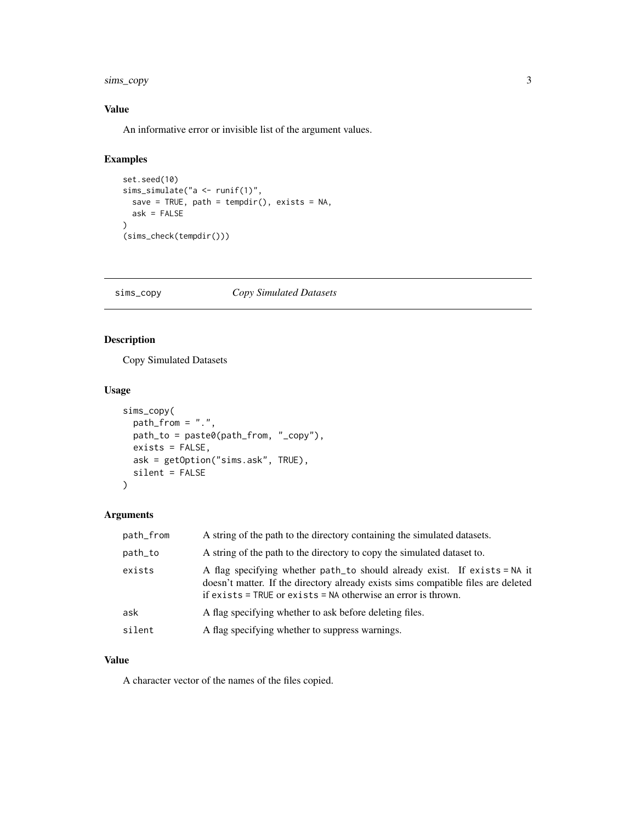<span id="page-2-0"></span>sims\_copy 3

#### Value

An informative error or invisible list of the argument values.

#### Examples

```
set.seed(10)
sims_simulate("a <- runif(1)",
  save = TRUE, path = tempdir(), exists = NA,
  ask = FALSE
\mathcal{L}(sims_check(tempdir()))
```
#### sims\_copy *Copy Simulated Datasets*

#### Description

Copy Simulated Datasets

#### Usage

```
sims_copy(
 path_from = "."path_to = paste0(path_from, "_copy"),
 exists = FALSE,
 ask = getOption("sims.ask", TRUE),
 silent = FALSE
)
```
#### Arguments

| path_from                                                                                                                                                                                                                                 | A string of the path to the directory containing the simulated datasets. |  |  |  |  |  |
|-------------------------------------------------------------------------------------------------------------------------------------------------------------------------------------------------------------------------------------------|--------------------------------------------------------------------------|--|--|--|--|--|
| A string of the path to the directory to copy the simulated dataset to.<br>path_to                                                                                                                                                        |                                                                          |  |  |  |  |  |
| A flag specifying whether path_to should already exist. If exists = NA it<br>exists<br>doesn't matter. If the directory already exists sims compatible files are deleted<br>if exists = TRUE or exists = NA otherwise an error is thrown. |                                                                          |  |  |  |  |  |
| ask<br>A flag specifying whether to ask before deleting files.                                                                                                                                                                            |                                                                          |  |  |  |  |  |
| silent<br>A flag specifying whether to suppress warnings.                                                                                                                                                                                 |                                                                          |  |  |  |  |  |

#### Value

A character vector of the names of the files copied.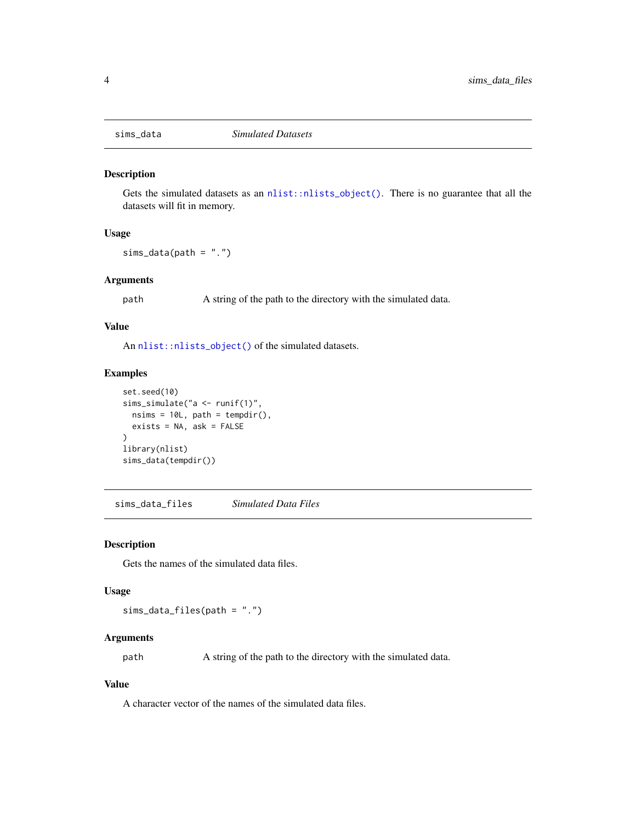<span id="page-3-0"></span>

#### Description

Gets the simulated datasets as an [nlist::nlists\\_object\(\)](#page-0-0). There is no guarantee that all the datasets will fit in memory.

#### Usage

 $sims\_data(path = "."')$ 

#### Arguments

path A string of the path to the directory with the simulated data.

#### Value

An [nlist::nlists\\_object\(\)](#page-0-0) of the simulated datasets.

#### Examples

```
set.seed(10)
sims_simulate("a <- runif(1)",
  nsims = 10L, path = tempdir(),
  exists = NA, ask = FALSE
\lambdalibrary(nlist)
sims_data(tempdir())
```
sims\_data\_files *Simulated Data Files*

#### Description

Gets the names of the simulated data files.

#### Usage

sims\_data\_files(path = ".")

#### Arguments

path A string of the path to the directory with the simulated data.

#### Value

A character vector of the names of the simulated data files.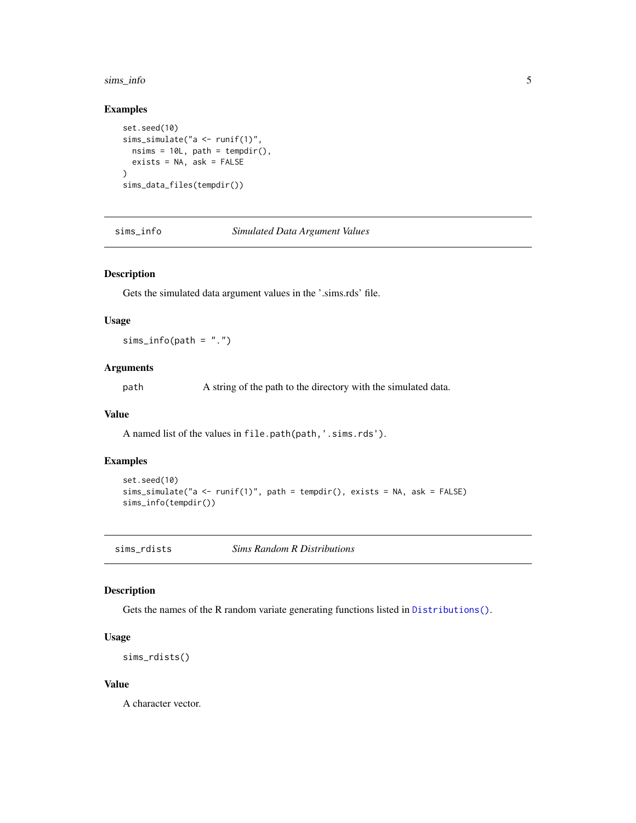#### <span id="page-4-0"></span>sims\_info 5

#### Examples

```
set.seed(10)
sims_simulate("a <- runif(1)",
  nsims = 10L, path = tempdir(),
  exists = NA, ask = FALSE
\lambdasims_data_files(tempdir())
```
sims\_info *Simulated Data Argument Values*

#### Description

Gets the simulated data argument values in the '.sims.rds' file.

#### Usage

 $sims_info(path = "."')$ 

#### Arguments

path A string of the path to the directory with the simulated data.

#### Value

A named list of the values in file.path(path,'.sims.rds').

#### Examples

```
set.seed(10)
sims_simulate("a <- runif(1)", path = tempdir(), exists = NA, ask = FALSE)
sims_info(tempdir())
```
<span id="page-4-1"></span>sims\_rdists *Sims Random R Distributions*

#### Description

Gets the names of the R random variate generating functions listed in [Distributions\(\)](#page-0-0).

#### Usage

sims\_rdists()

#### Value

A character vector.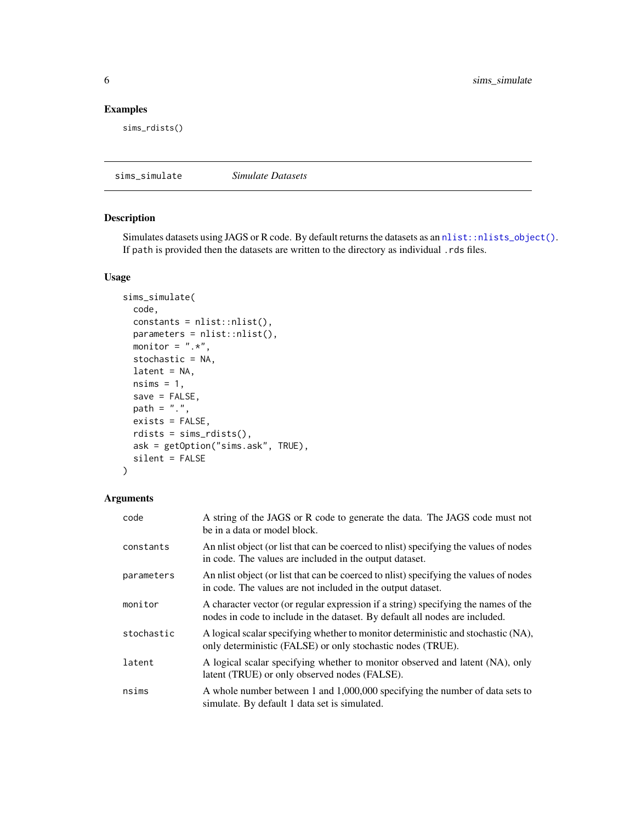<span id="page-5-0"></span>6 sims\_simulate

#### Examples

sims\_rdists()

sims\_simulate *Simulate Datasets*

#### Description

Simulates datasets using JAGS or R code. By default returns the datasets as an [nlist::nlists\\_object\(\)](#page-0-0). If path is provided then the datasets are written to the directory as individual .rds files.

#### Usage

```
sims_simulate(
 code,
 constants = nlist::nlist(),
 parameters = nlist::nlist(),
 monitor = ".**",
 stochastic = NA,
 latent = NA,nsims = 1,save = FALSE,path = "."exists = FALSE,
 rdists = sims_rdists(),
 ask = getOption("sims.ask", TRUE),
  silent = FALSE
)
```
#### Arguments

| code       | A string of the JAGS or R code to generate the data. The JAGS code must not<br>be in a data or model block.                                                       |
|------------|-------------------------------------------------------------------------------------------------------------------------------------------------------------------|
| constants  | An nlist object (or list that can be coerced to nlist) specifying the values of nodes<br>in code. The values are included in the output dataset.                  |
| parameters | An nlist object (or list that can be coerced to nlist) specifying the values of nodes<br>in code. The values are not included in the output dataset.              |
| monitor    | A character vector (or regular expression if a string) specifying the names of the<br>nodes in code to include in the dataset. By default all nodes are included. |
| stochastic | A logical scalar specifying whether to monitor deterministic and stochastic (NA),<br>only deterministic (FALSE) or only stochastic nodes (TRUE).                  |
| latent     | A logical scalar specifying whether to monitor observed and latent (NA), only<br>latent (TRUE) or only observed nodes (FALSE).                                    |
| nsims      | A whole number between 1 and 1,000,000 specifying the number of data sets to<br>simulate. By default 1 data set is simulated.                                     |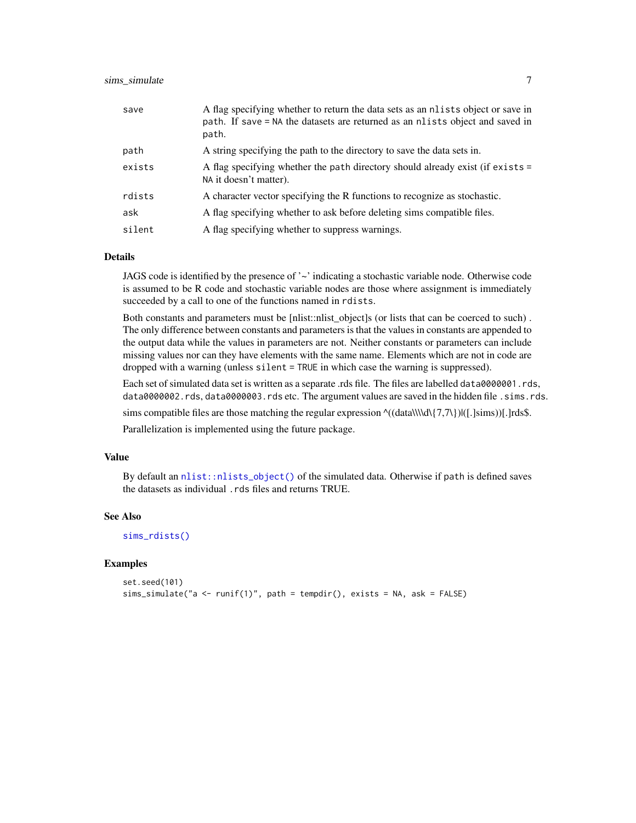#### <span id="page-6-0"></span>sims\_simulate 7 \, 7

| save   | A flag specifying whether to return the data sets as an nlists object or save in<br>path. If save = NA the datasets are returned as an nlists object and saved in<br>path. |
|--------|----------------------------------------------------------------------------------------------------------------------------------------------------------------------------|
| path   | A string specifying the path to the directory to save the data sets in.                                                                                                    |
| exists | A flag specifying whether the path directory should already exist (if exists =<br>NA it doesn't matter).                                                                   |
| rdists | A character vector specifying the R functions to recognize as stochastic.                                                                                                  |
| ask    | A flag specifying whether to ask before deleting sims compatible files.                                                                                                    |
| silent | A flag specifying whether to suppress warnings.                                                                                                                            |

#### Details

JAGS code is identified by the presence of  $\sim$  indicating a stochastic variable node. Otherwise code is assumed to be R code and stochastic variable nodes are those where assignment is immediately succeeded by a call to one of the functions named in rdists.

Both constants and parameters must be [nlist::nlist\_object]s (or lists that can be coerced to such) . The only difference between constants and parameters is that the values in constants are appended to the output data while the values in parameters are not. Neither constants or parameters can include missing values nor can they have elements with the same name. Elements which are not in code are dropped with a warning (unless silent = TRUE in which case the warning is suppressed).

Each set of simulated data set is written as a separate .rds file. The files are labelled data0000001.rds, data0000002.rds, data0000003.rds etc. The argument values are saved in the hidden file .sims.rds.

sims compatible files are those matching the regular expression  $\land ((data\{\{\}\}\{7,7\})||([.]sims))[.]rds$ .

Parallelization is implemented using the future package.

#### Value

By default an [nlist::nlists\\_object\(\)](#page-0-0) of the simulated data. Otherwise if path is defined saves the datasets as individual .rds files and returns TRUE.

#### See Also

[sims\\_rdists\(\)](#page-4-1)

#### Examples

```
set.seed(101)
sims_simulate("a <- runif(1)", path = tempdir(), exists = NA, ask = FALSE)
```